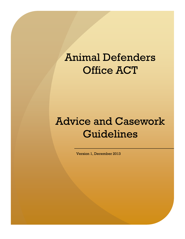# Animal Defenders Office ACT

## Advice and Casework Guidelines

Version 1, December 2013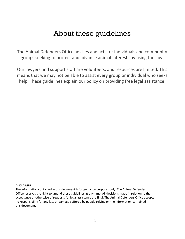#### About these guidelines

The Animal Defenders Office advises and acts for individuals and community groups seeking to protect and advance animal interests by using the law.

Our lawyers and support staff are volunteers, and resources are limited. This means that we may not be able to assist every group or individual who seeks help. These guidelines explain our policy on providing free legal assistance.

#### **DISCLAIMER**

The information contained in this document is for guidance purposes only. The Animal Defenders Office reserves the right to amend these guidelines at any time. All decisions made in relation to the acceptance or otherwise of requests for legal assistance are final. The Animal Defenders Office accepts no responsibility for any loss or damage suffered by people relying on the information contained in this document.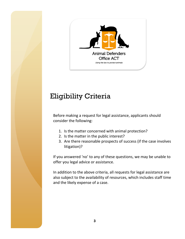

## Eligibility Criteria

Before making a request for legal assistance, applicants should consider the following:

- 1. Is the matter concerned with animal protection?
- 2. Is the matter in the public interest?
- 3. Are there reasonable prospects of success (if the case involves litigation)?

If you answered 'no' to any of these questions, we may be unable to offer you legal advice or assistance.

In addition to the above criteria, all requests for legal assistance are also subject to the availability of resources, which includes staff time and the likely expense of a case.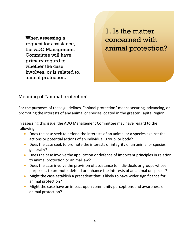When assessing a request for assistance, the ADO Management Committee will have primary regard to whether the case involves, or is related to, animal protection.

1. Is the matter concerned with animal protection?

#### Meaning of "animal protection"

For the purposes of these guidelines, "animal protection" means securing, advancing, or promoting the interests of any animal or species located in the greater Capital region.

In assessing this issue, the ADO Management Committee may have regard to the following:

- Does the case seek to defend the interests of an animal or a species against the actions or potential actions of an individual, group, or body?
- Does the case seek to promote the interests or integrity of an animal or species generally?
- Does the case involve the application or defence of important principles in relation to animal protection or animal law?
- Does the case involve the provision of assistance to individuals or groups whose purpose is to promote, defend or enhance the interests of an animal or species?
- Might the case establish a precedent that is likely to have wider significance for animal protection?
- Might the case have an impact upon community perceptions and awareness of animal protection?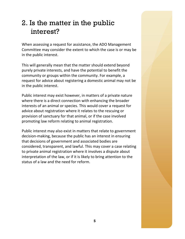### 2. Is the matter in the public interest?

When assessing a request for assistance, the ADO Management Committee may consider the extent to which the case is or may be in the public interest.

This will generally mean that the matter should extend beyond purely private interests, and have the potential to benefit the community or groups within the community. For example, a request for advice about registering a domestic animal may not be in the public interest.

Public interest may exist however, in matters of a private nature where there is a direct connection with enhancing the broader interests of an animal or species. This would cover a request for advice about registration where it relates to the rescuing or provision of sanctuary for that animal, or if the case involved promoting law reform relating to animal registration.

Public interest may also exist in matters that relate to government decision-making, because the public has an interest in ensuring that decisions of government and associated bodies are considered, transparent, and lawful. This may cover a case relating to private animal registration where it involves a dispute about interpretation of the law, or if it is likely to bring attention to the status of a law and the need for reform.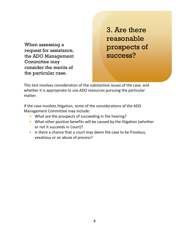When assessing a request for assistance, the ADO Management Committee may consider the merits of the particular case.

3. Are there reasonable prospects of success?

This test involves consideration of the substantive issues of the case, and whether it is appropriate to use ADO resources pursuing the particular matter.

If the case involves litigation, some of the considerations of the ADO  $m$ m $t$ to may include: Management Committee may include:

- What are the prospects of succeeding in the hearing?
- What other positive benefits will be caused by the litigation (whether or not it succeeds in Court)?
- **Etiam posuere ligula ac orci.**  vexatious or an abuse of process? Is there a chance that a court may deem the case to be frivolous,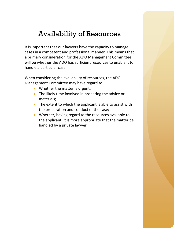### Availability of Resources

It is important that our lawyers have the capacity to manage cases in a competent and professional manner. This means that a primary consideration for the ADO Management Committee will be whether the ADO has sufficient resources to enable it to handle a particular case.

When considering the availability of resources, the ADO Management Committee may have regard to:

- Whether the matter is urgent;
- The likely time involved in preparing the advice or materials;
- The extent to which the applicant is able to assist with the preparation and conduct of the case;
- Whether, having regard to the resources available to the applicant, it is more appropriate that the matter be handled by a private lawyer.